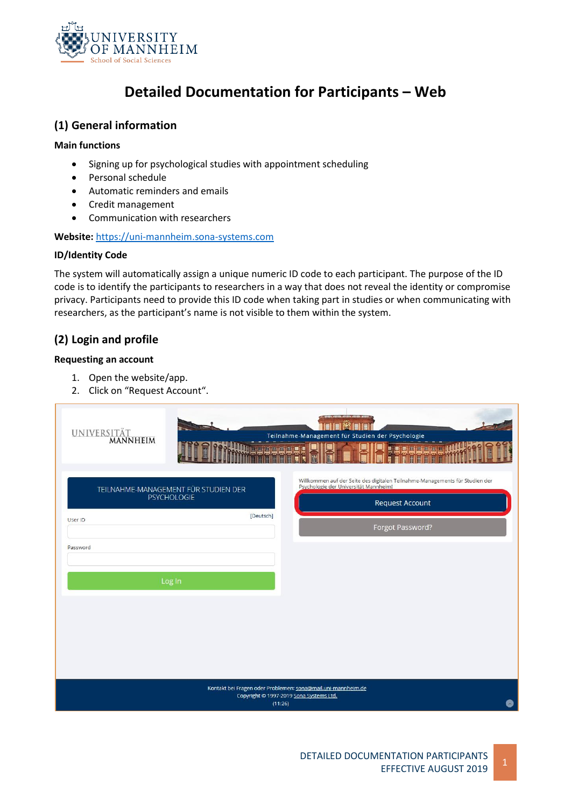

# **Detailed Documentation for Participants – Web**

### **(1) General information**

#### **Main functions**

- Signing up for psychological studies with appointment scheduling
- Personal schedule
- Automatic reminders and emails
- Credit management
- Communication with researchers

**Website:** [https://uni-mannheim.sona-systems.com](https://uni-mannheim.sona-systems.com/)

#### **ID/Identity Code**

The system will automatically assign a unique numeric ID code to each participant. The purpose of the ID code is to identify the participants to researchers in a way that does not reveal the identity or compromise privacy. Participants need to provide this ID code when taking part in studies or when communicating with researchers, as the participant's name is not visible to them within the system.

# **(2) Login and profile**

### **Requesting an account**

- 1. Open the website/app.
- 2. Click on "Request Account".

| UNIVERSITÄT<br><b>THRAGAE!</b>                                                                                          | <b>MEDI</b><br>Teilnahme-Management für Studien der Psychologie<br>HHHHHHH.                                                                                         |  |  |  |
|-------------------------------------------------------------------------------------------------------------------------|---------------------------------------------------------------------------------------------------------------------------------------------------------------------|--|--|--|
| TEILNAHME-MANAGEMENT FÜR STUDIEN DER<br><b>PSYCHOLOGIE</b><br>[Deutsch]<br>User ID<br>Password                          | Willkommen auf der Seite des digitalen Teilnahme-Managements für Studien der<br>Psychologie der Universität Mannheim!<br><b>Request Account</b><br>Forgot Password? |  |  |  |
| Log In                                                                                                                  |                                                                                                                                                                     |  |  |  |
| Kontakt bei Fragen oder Problemen: sona@mail.uni-mannheim.de<br>Copyright @ 1997-2019 Sona Systems Ltd.<br>(11:26)<br>0 |                                                                                                                                                                     |  |  |  |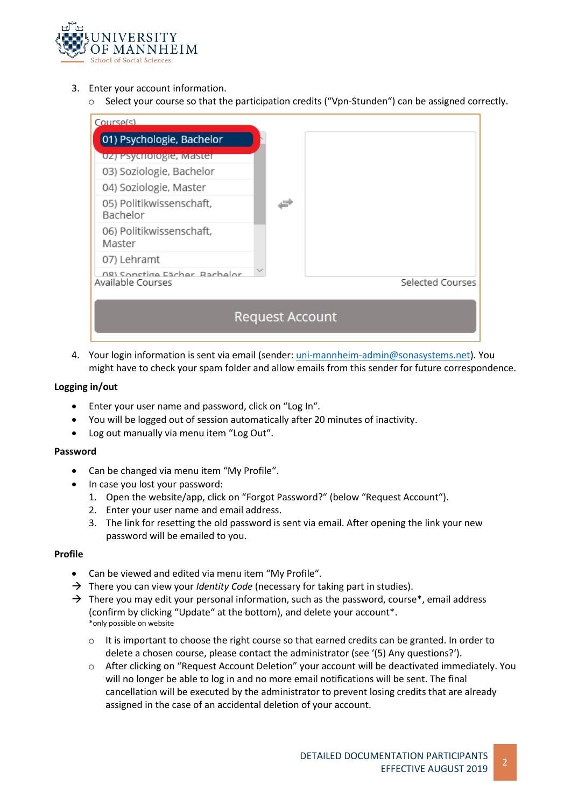

- 3. Enter your account information.
	- o Select your course so that the participation credits ("Vpn-Stunden") can be assigned correctly.



4. Your login information is sent via email (sender[: uni-mannheim-admin@sonasystems.net\)](mailto:uni-mannheim-admin@sonasystems.net). You might have to check your spam folder and allow emails from this sender for future correspondence.

#### **Logging in/out**

- Enter your user name and password, click on "Log In".
- You will be logged out of session automatically after 20 minutes of inactivity.
- Log out manually via menu item "Log Out".

#### **Password**

- Can be changed via menu item "My Profile".
- In case you lost your password:
	- 1. Open the website/app, click on "Forgot Password?" (below "Request Account").
	- 2. Enter your user name and email address.
	- 3. The link for resetting the old password is sent via email. After opening the link your new password will be emailed to you.

#### **Profile**

- Can be viewed and edited via menu item "My Profile".
- → There you can view your *Identity Code* (necessary for taking part in studies).
- $\rightarrow$  There you may edit your personal information, such as the password, course\*, email address (confirm by clicking "Update" at the bottom), and delete your account\*. \*only possible on website
	- $\circ$  It is important to choose the right course so that earned credits can be granted. In order to delete a chosen course, please contact the administrator (see '(5) Any questions?').
	- o After clicking on "Request Account Deletion" your account will be deactivated immediately. You will no longer be able to log in and no more email notifications will be sent. The final cancellation will be executed by the administrator to prevent losing credits that are already assigned in the case of an accidental deletion of your account.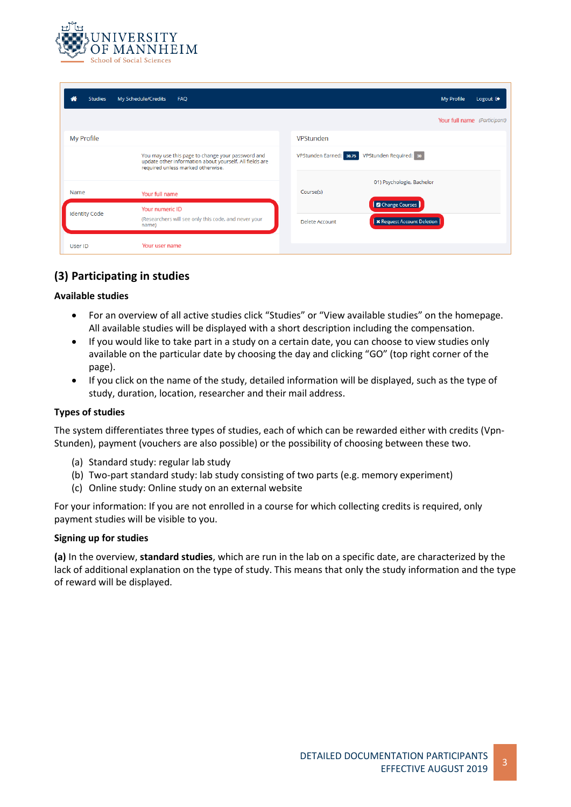

| ⋒<br><b>Studies</b>  | My Schedule/Credits<br>FAQ                                                                                                                        | <b>My Profile</b><br>Logout <sup>®</sup>                                       |
|----------------------|---------------------------------------------------------------------------------------------------------------------------------------------------|--------------------------------------------------------------------------------|
|                      |                                                                                                                                                   | Your full name (Participant)                                                   |
| My Profile           |                                                                                                                                                   | VPStunden                                                                      |
|                      | You may use this page to change your password and<br>update other information about yourself. All fields are<br>required unless marked otherwise. | VPStunden Required: 30<br>VPStunden Earned: 30.75                              |
|                      |                                                                                                                                                   | 01) Psychologie, Bachelor                                                      |
| Name                 | Your full name                                                                                                                                    | Course(s)                                                                      |
| <b>Identity Code</b> | Your numeric ID<br>(Researchers will see only this code, and never your<br>name)                                                                  | <b>B</b> Change Courses<br><b>X</b> Request Account Deletion<br>Delete Account |
| User ID              | Your user name                                                                                                                                    |                                                                                |

# **(3) Participating in studies**

#### **Available studies**

- For an overview of all active studies click "Studies" or "View available studies" on the homepage. All available studies will be displayed with a short description including the compensation.
- If you would like to take part in a study on a certain date, you can choose to view studies only available on the particular date by choosing the day and clicking "GO" (top right corner of the page).
- If you click on the name of the study, detailed information will be displayed, such as the type of study, duration, location, researcher and their mail address.

#### **Types of studies**

The system differentiates three types of studies, each of which can be rewarded either with credits (Vpn-Stunden), payment (vouchers are also possible) or the possibility of choosing between these two.

- (a) Standard study: regular lab study
- (b) Two-part standard study: lab study consisting of two parts (e.g. memory experiment)
- (c) Online study: Online study on an external website

For your information: If you are not enrolled in a course for which collecting credits is required, only payment studies will be visible to you.

#### **Signing up for studies**

**(a)** In the overview, **standard studies**, which are run in the lab on a specific date, are characterized by the lack of additional explanation on the type of study. This means that only the study information and the type of reward will be displayed.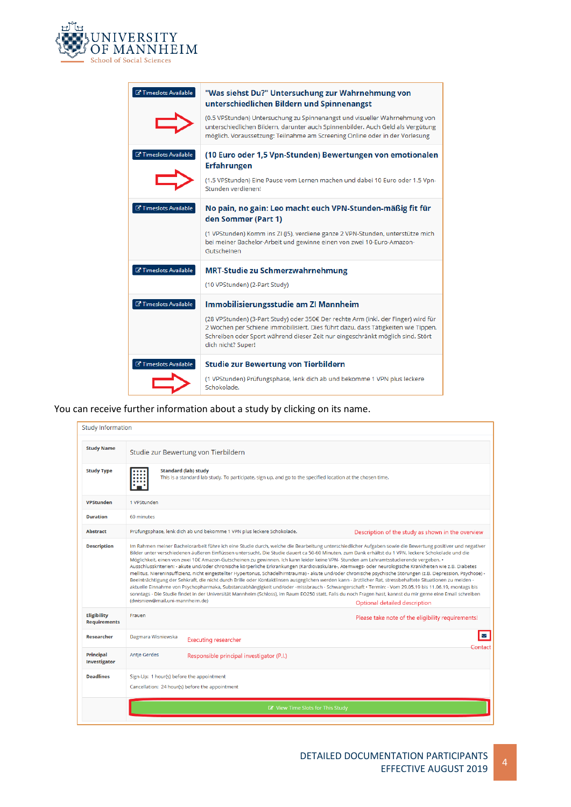

| <b>Z' Timeslots Available</b>       | "Was siehst Du?" Untersuchung zur Wahrnehmung von<br>unterschiedlichen Bildern und Spinnenangst                                                                                                                                                                                 |
|-------------------------------------|---------------------------------------------------------------------------------------------------------------------------------------------------------------------------------------------------------------------------------------------------------------------------------|
|                                     | (0.5 VPStunden) Untersuchung zu Spinnenangst und visueller Wahrnehmung von<br>unterschiedlichen Bildern, darunter auch Spinnenbilder. Auch Geld als Vergütung<br>möglich. Voraussetzung: Teilnahme am Screening Online oder in der Vorlesung                                    |
| <b>Z' Timeslots Available</b>       | (10 Euro oder 1,5 Vpn-Stunden) Bewertungen von emotionalen<br>Erfahrungen<br>(1.5 VPStunden) Eine Pause vom Lernen machen und dabei 10 Euro oder 1.5 Vpn-                                                                                                                       |
|                                     | Stunden verdienen!                                                                                                                                                                                                                                                              |
| <b>子 Timeslots Available</b>        | No pain, no gain: Leo macht euch VPN-Stunden-mäßig fit für<br>den Sommer (Part 1)                                                                                                                                                                                               |
|                                     | (1 VPStunden) Komm ins ZI (J5), verdiene ganze 2 VPN-Stunden, unterstütze mich<br>bei meiner Bachelor-Arbeit und gewinne einen von zwei 10-Euro-Amazon-<br>Gutscheinen                                                                                                          |
| <b>Z'</b> Timeslots Available       | <b>MRT-Studie zu Schmerzwahrnehmung</b><br>(10 VPStunden) (2-Part Study)                                                                                                                                                                                                        |
| <b>Z'</b> Timeslots Available       | Immobilisierungsstudie am ZI Mannheim                                                                                                                                                                                                                                           |
|                                     | (28 VPStunden) (3-Part Study) oder 350€ Der rechte Arm (inkl. der Finger) wird für<br>2 Wochen per Schiene immobilisiert. Dies führt dazu, dass Tätigkeiten wie Tippen,<br>Schreiben oder Sport während dieser Zeit nur eingeschränkt möglich sind. Stört<br>dich nicht? Super! |
| <b><i>C</i></b> Timeslots Available | <b>Studie zur Bewertung von Tierbildern</b>                                                                                                                                                                                                                                     |
|                                     | (1 VPStunden) Prüfungsphase, lenk dich ab und bekomme 1 VPN plus leckere<br>Schokolade.                                                                                                                                                                                         |

You can receive further information about a study by clicking on its name.

| <b>Study Name</b>                                                                                                      | Studie zur Bewertung von Tierbildern                                                                                                                                                                                                                                                                                                                                                                                                                                                                                                                                                                                                                                                                                                                                                                                                                                                                                                                                                                                                                                                                                                                                                                                                                                                                                                                 |                                                                        |                                                   |
|------------------------------------------------------------------------------------------------------------------------|------------------------------------------------------------------------------------------------------------------------------------------------------------------------------------------------------------------------------------------------------------------------------------------------------------------------------------------------------------------------------------------------------------------------------------------------------------------------------------------------------------------------------------------------------------------------------------------------------------------------------------------------------------------------------------------------------------------------------------------------------------------------------------------------------------------------------------------------------------------------------------------------------------------------------------------------------------------------------------------------------------------------------------------------------------------------------------------------------------------------------------------------------------------------------------------------------------------------------------------------------------------------------------------------------------------------------------------------------|------------------------------------------------------------------------|---------------------------------------------------|
| <b>Study Type</b>                                                                                                      | <b>Standard (lab) study</b><br>This is a standard lab study. To participate, sign up, and go to the specified location at the chosen time.                                                                                                                                                                                                                                                                                                                                                                                                                                                                                                                                                                                                                                                                                                                                                                                                                                                                                                                                                                                                                                                                                                                                                                                                           |                                                                        |                                                   |
| <b>VPStunden</b>                                                                                                       | 1 VPStunden                                                                                                                                                                                                                                                                                                                                                                                                                                                                                                                                                                                                                                                                                                                                                                                                                                                                                                                                                                                                                                                                                                                                                                                                                                                                                                                                          |                                                                        |                                                   |
| <b>Duration</b>                                                                                                        | 60 minutes                                                                                                                                                                                                                                                                                                                                                                                                                                                                                                                                                                                                                                                                                                                                                                                                                                                                                                                                                                                                                                                                                                                                                                                                                                                                                                                                           |                                                                        |                                                   |
| <b>Abstract</b>                                                                                                        |                                                                                                                                                                                                                                                                                                                                                                                                                                                                                                                                                                                                                                                                                                                                                                                                                                                                                                                                                                                                                                                                                                                                                                                                                                                                                                                                                      | Prüfungsphase, lenk dich ab und bekomme 1 VPN plus leckere Schokolade. | Description of the study as shown in the overview |
| <b>Description</b>                                                                                                     | Im Rahmen meiner Bachelorarbeit führe ich eine Studie durch, welche die Bearbeitung unterschiedlicher Aufgaben sowie die Bewertung positiver und negativer<br>Bilder unter verschiedenen äußeren Einflüssen untersucht. Die Studie dauert ca 50-60 Minuten, zum Dank erhältst du 1 VPN, leckere Schokolade und die<br>Möglichkeit, einen von zwei 10€ Amazon-Gutscheinen zu gewinnen. Ich kann leider keine VPN- Stunden am Lehramtsstudierende vergeben. •<br>Ausschlusskriterien: - akute und/oder chronische körperliche Erkrankungen (Kardiovaskuläre-, Atemwegs- oder neurologische Krankheiten wie z.B. Diabetes<br>mellitus, Niereninsuffizienz, nicht eingestellter Hypertonus, Schädelhirntrauma) - akute und/oder chronische psychische Störungen (z.B. Depression, Psychose) -<br>Beeinträchtigung der Sehkraft, die nicht durch Brille oder Kontaktlinsen ausgeglichen werden kann - ärztlicher Rat, stressbehaftete Situationen zu meiden -<br>aktuelle Einnahme von Psychopharmaka, Substanzabhängigkeit und/oder -missbrauch - Schwangerschaft · Termin: - Vom 29.05.19 bis 11.06.19, montags bis<br>sonntags - Die Studie findet in der Universität Mannheim (Schloss), im Raum EO250 statt. Falls du noch Fragen hast, kannst du mir gerne eine Email schreiben<br>(dwisniew@mail.uni-mannheim.de)<br>Optional detailed description |                                                                        |                                                   |
|                                                                                                                        |                                                                                                                                                                                                                                                                                                                                                                                                                                                                                                                                                                                                                                                                                                                                                                                                                                                                                                                                                                                                                                                                                                                                                                                                                                                                                                                                                      |                                                                        |                                                   |
|                                                                                                                        | Frauen                                                                                                                                                                                                                                                                                                                                                                                                                                                                                                                                                                                                                                                                                                                                                                                                                                                                                                                                                                                                                                                                                                                                                                                                                                                                                                                                               |                                                                        | Please take note of the eligibility requirements! |
|                                                                                                                        | Dagmara Wisniewska                                                                                                                                                                                                                                                                                                                                                                                                                                                                                                                                                                                                                                                                                                                                                                                                                                                                                                                                                                                                                                                                                                                                                                                                                                                                                                                                   | <b>Executing researcher</b>                                            | $\triangleright$                                  |
|                                                                                                                        | Antje Gerdes                                                                                                                                                                                                                                                                                                                                                                                                                                                                                                                                                                                                                                                                                                                                                                                                                                                                                                                                                                                                                                                                                                                                                                                                                                                                                                                                         | Responsible principal investigator (P.I.)                              | Contact                                           |
| <b>Eligibility</b><br><b>Requirements</b><br><b>Researcher</b><br>Principal<br><b>Investigator</b><br><b>Deadlines</b> | Sign-Up: 1 hour(s) before the appointment                                                                                                                                                                                                                                                                                                                                                                                                                                                                                                                                                                                                                                                                                                                                                                                                                                                                                                                                                                                                                                                                                                                                                                                                                                                                                                            | Cancellation: 24 hour(s) before the appointment                        |                                                   |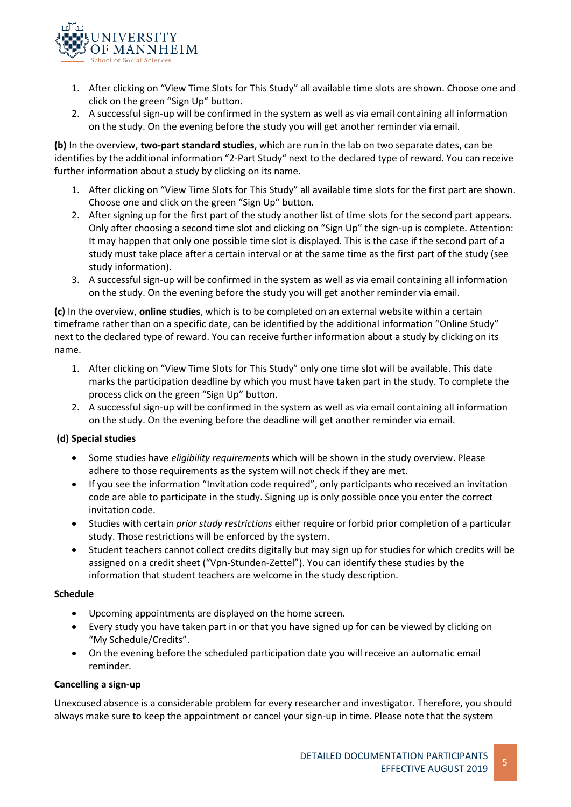

- 1. After clicking on "View Time Slots for This Study" all available time slots are shown. Choose one and click on the green "Sign Up" button.
- 2. A successful sign-up will be confirmed in the system as well as via email containing all information on the study. On the evening before the study you will get another reminder via email.

**(b)** In the overview, **two-part standard studies**, which are run in the lab on two separate dates, can be identifies by the additional information "2-Part Study" next to the declared type of reward. You can receive further information about a study by clicking on its name.

- 1. After clicking on "View Time Slots for This Study" all available time slots for the first part are shown. Choose one and click on the green "Sign Up" button.
- 2. After signing up for the first part of the study another list of time slots for the second part appears. Only after choosing a second time slot and clicking on "Sign Up" the sign-up is complete. Attention: It may happen that only one possible time slot is displayed. This is the case if the second part of a study must take place after a certain interval or at the same time as the first part of the study (see study information).
- 3. A successful sign-up will be confirmed in the system as well as via email containing all information on the study. On the evening before the study you will get another reminder via email.

**(c)** In the overview, **online studies**, which is to be completed on an external website within a certain timeframe rather than on a specific date, can be identified by the additional information "Online Study" next to the declared type of reward. You can receive further information about a study by clicking on its name.

- 1. After clicking on "View Time Slots for This Study" only one time slot will be available. This date marks the participation deadline by which you must have taken part in the study. To complete the process click on the green "Sign Up" button.
- 2. A successful sign-up will be confirmed in the system as well as via email containing all information on the study. On the evening before the deadline will get another reminder via email.

### **(d) Special studies**

- Some studies have *eligibility requirements* which will be shown in the study overview. Please adhere to those requirements as the system will not check if they are met.
- If you see the information "Invitation code required", only participants who received an invitation code are able to participate in the study. Signing up is only possible once you enter the correct invitation code.
- Studies with certain *prior study restrictions* either require or forbid prior completion of a particular study. Those restrictions will be enforced by the system.
- Student teachers cannot collect credits digitally but may sign up for studies for which credits will be assigned on a credit sheet ("Vpn-Stunden-Zettel"). You can identify these studies by the information that student teachers are welcome in the study description.

#### **Schedule**

- Upcoming appointments are displayed on the home screen.
- Every study you have taken part in or that you have signed up for can be viewed by clicking on "My Schedule/Credits".
- On the evening before the scheduled participation date you will receive an automatic email reminder.

#### **Cancelling a sign-up**

Unexcused absence is a considerable problem for every researcher and investigator. Therefore, you should always make sure to keep the appointment or cancel your sign-up in time. Please note that the system